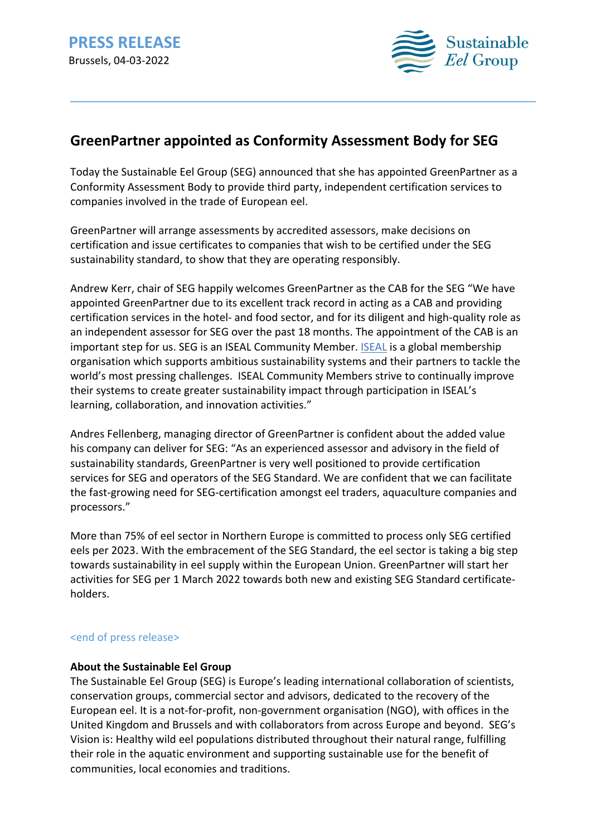

# **GreenPartner appointed as Conformity Assessment Body for SEG**

Today the Sustainable Eel Group (SEG) announced that she has appointed GreenPartner as a Conformity Assessment Body to provide third party, independent certification services to companies involved in the trade of European eel.

GreenPartner will arrange assessments by accredited assessors, make decisions on certification and issue certificates to companies that wish to be certified under the SEG sustainability standard, to show that they are operating responsibly.

Andrew Kerr, chair of SEG happily welcomes GreenPartner as the CAB for the SEG "We have appointed GreenPartner due to its excellent track record in acting as a CAB and providing certification services in the hotel- and food sector, and for its diligent and high-quality role as an independent assessor for SEG over the past 18 months. The appointment of the CAB is an important step for us. SEG is an ISEAL Community Member. ISEAL is a global membership organisation which supports ambitious sustainability systems and their partners to tackle the world's most pressing challenges. ISEAL Community Members strive to continually improve their systems to create greater sustainability impact through participation in ISEAL's learning, collaboration, and innovation activities."

Andres Fellenberg, managing director of GreenPartner is confident about the added value his company can deliver for SEG: "As an experienced assessor and advisory in the field of sustainability standards, GreenPartner is very well positioned to provide certification services for SEG and operators of the SEG Standard. We are confident that we can facilitate the fast-growing need for SEG-certification amongst eel traders, aquaculture companies and processors."

More than 75% of eel sector in Northern Europe is committed to process only SEG certified eels per 2023. With the embracement of the SEG Standard, the eel sector is taking a big step towards sustainability in eel supply within the European Union. GreenPartner will start her activities for SEG per 1 March 2022 towards both new and existing SEG Standard certificateholders.

## <end of press release>

### **About the Sustainable Eel Group**

The Sustainable Eel Group (SEG) is Europe's leading international collaboration of scientists, conservation groups, commercial sector and advisors, dedicated to the recovery of the European eel. It is a not-for-profit, non-government organisation (NGO), with offices in the United Kingdom and Brussels and with collaborators from across Europe and beyond. SEG's Vision is: Healthy wild eel populations distributed throughout their natural range, fulfilling their role in the aquatic environment and supporting sustainable use for the benefit of communities, local economies and traditions.